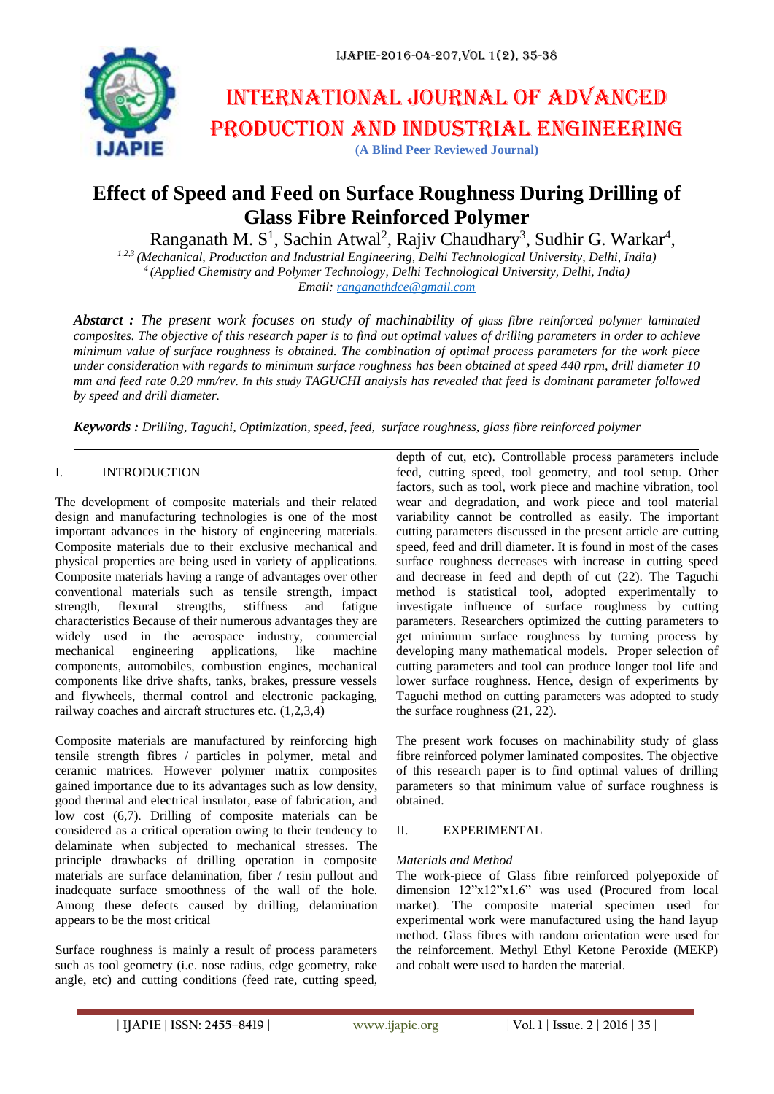

# International journal of advanced production and industrial engineering **(A Blind Peer Reviewed Journal)**

# **Effect of Speed and Feed on Surface Roughness During Drilling of Glass Fibre Reinforced Polymer**

Ranganath M. S<sup>1</sup>, Sachin Atwal<sup>2</sup>, Rajiv Chaudhary<sup>3</sup>, Sudhir G. Warkar<sup>4</sup>,

*1,2,3 (Mechanical, Production and Industrial Engineering, Delhi Technological University, Delhi, India) <sup>4</sup>(Applied Chemistry and Polymer Technology, Delhi Technological University, Delhi, India) Email: [ranganathdce@gmail.com](mailto:ranganathdce@gmail.com)*

*Abstarct : The present work focuses on study of machinability of glass fibre reinforced polymer laminated composites. The objective of this research paper is to find out optimal values of drilling parameters in order to achieve minimum value of surface roughness is obtained. The combination of optimal process parameters for the work piece under consideration with regards to minimum surface roughness has been obtained at speed 440 rpm, drill diameter 10 mm and feed rate 0.20 mm/rev. In this study TAGUCHI analysis has revealed that feed is dominant parameter followed by speed and drill diameter.*

*Keywords : Drilling, Taguchi, Optimization, speed, feed, surface roughness, glass fibre reinforced polymer*

### I. INTRODUCTION

The development of composite materials and their related design and manufacturing technologies is one of the most important advances in the history of engineering materials. Composite materials due to their exclusive mechanical and physical properties are being used in variety of applications. Composite materials having a range of advantages over other conventional materials such as tensile strength, impact strength, flexural strengths, stiffness and fatigue characteristics Because of their numerous advantages they are widely used in the aerospace industry, commercial mechanical engineering applications, like machine components, automobiles, combustion engines, mechanical components like drive shafts, tanks, brakes, pressure vessels and flywheels, thermal control and electronic packaging, railway coaches and aircraft structures etc. (1,2,3,4)

Composite materials are manufactured by reinforcing high tensile strength fibres / particles in polymer, metal and ceramic matrices. However polymer matrix composites gained importance due to its advantages such as low density, good thermal and electrical insulator, ease of fabrication, and low cost (6,7). Drilling of composite materials can be considered as a critical operation owing to their tendency to delaminate when subjected to mechanical stresses. The principle drawbacks of drilling operation in composite materials are surface delamination, fiber / resin pullout and inadequate surface smoothness of the wall of the hole. Among these defects caused by drilling, delamination appears to be the most critical

Surface roughness is mainly a result of process parameters such as tool geometry (i.e. nose radius, edge geometry, rake angle, etc) and cutting conditions (feed rate, cutting speed,

depth of cut, etc). Controllable process parameters include feed, cutting speed, tool geometry, and tool setup. Other factors, such as tool, work piece and machine vibration, tool wear and degradation, and work piece and tool material variability cannot be controlled as easily. The important cutting parameters discussed in the present article are cutting speed, feed and drill diameter. It is found in most of the cases surface roughness decreases with increase in cutting speed and decrease in feed and depth of cut (22). The Taguchi method is statistical tool, adopted experimentally to investigate influence of surface roughness by cutting parameters. Researchers optimized the cutting parameters to get minimum surface roughness by turning process by developing many mathematical models. Proper selection of cutting parameters and tool can produce longer tool life and lower surface roughness. Hence, design of experiments by Taguchi method on cutting parameters was adopted to study the surface roughness (21, 22).

The present work focuses on machinability study of glass fibre reinforced polymer laminated composites. The objective of this research paper is to find optimal values of drilling parameters so that minimum value of surface roughness is obtained.

#### II. EXPERIMENTAL

#### *Materials and Method*

The work-piece of Glass fibre reinforced polyepoxide of dimension 12"x12"x1.6" was used (Procured from local market). The composite material specimen used for experimental work were manufactured using the hand layup method. Glass fibres with random orientation were used for the reinforcement. Methyl Ethyl Ketone Peroxide (MEKP) and cobalt were used to harden the material.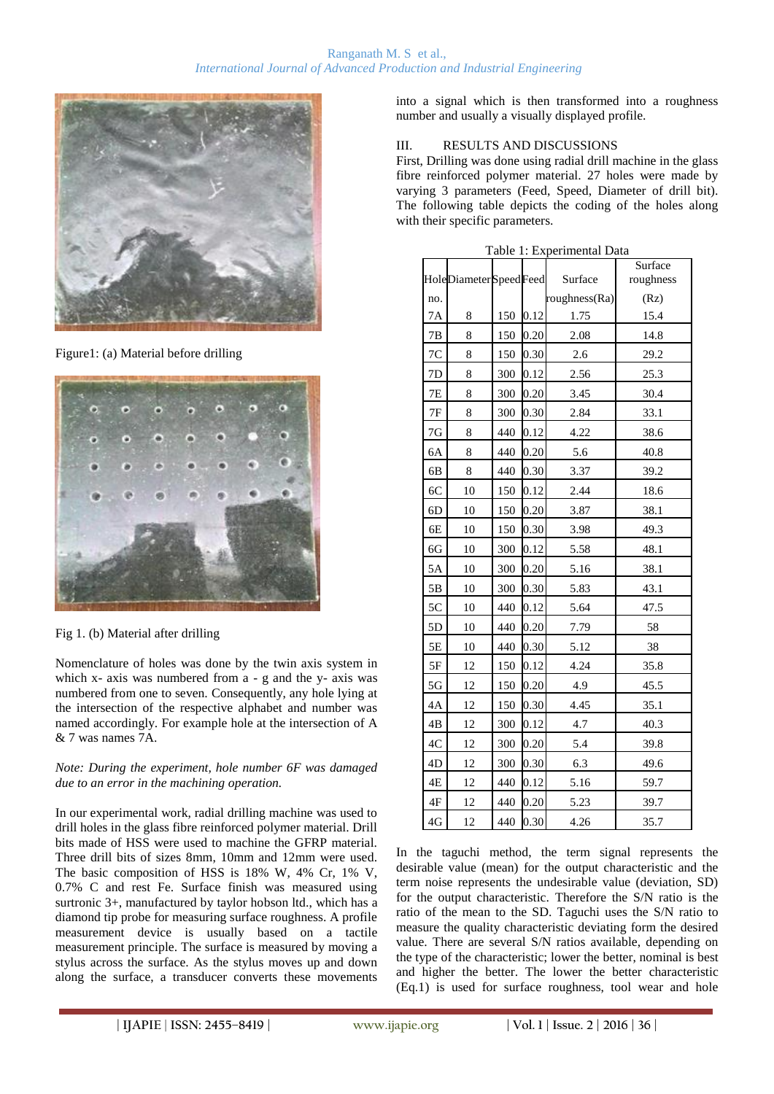

Figure1: (a) Material before drilling



Fig 1. (b) Material after drilling

Nomenclature of holes was done by the twin axis system in which x- axis was numbered from a - g and the y- axis was numbered from one to seven. Consequently, any hole lying at the intersection of the respective alphabet and number was named accordingly. For example hole at the intersection of A & 7 was names 7A.

*Note: During the experiment, hole number 6F was damaged due to an error in the machining operation.*

In our experimental work, radial drilling machine was used to drill holes in the glass fibre reinforced polymer material. Drill bits made of HSS were used to machine the GFRP material. Three drill bits of sizes 8mm, 10mm and 12mm were used. The basic composition of HSS is 18% W, 4% Cr, 1% V, 0.7% C and rest Fe. Surface finish was measured using surtronic 3+, manufactured by taylor hobson ltd., which has a diamond tip probe for measuring surface roughness. A profile measurement device is usually based on a tactile measurement principle. The surface is measured by moving a stylus across the surface. As the stylus moves up and down along the surface, a transducer converts these movements

into a signal which is then transformed into a roughness number and usually a visually displayed profile.

## III. RESULTS AND DISCUSSIONS

First, Drilling was done using radial drill machine in the glass fibre reinforced polymer material. 27 holes were made by varying 3 parameters (Feed, Speed, Diameter of drill bit). The following table depicts the coding of the holes along with their specific parameters.

|               | HoleDiameterSpeedFeed |     |      | Surface       | Surface<br>roughness |
|---------------|-----------------------|-----|------|---------------|----------------------|
| no.           |                       |     |      | roughness(Ra) | (Rz)                 |
| 7A            | 8                     | 150 | 0.12 | 1.75          | 15.4                 |
| $7\mathrm{B}$ | 8                     | 150 | 0.20 | 2.08          | 14.8                 |
| 7C            | 8                     | 150 | 0.30 | 2.6           | 29.2                 |
| 7D            | 8                     | 300 | 0.12 | 2.56          | 25.3                 |
| 7E            | 8                     | 300 | 0.20 | 3.45          | 30.4                 |
| 7F            | 8                     | 300 | 0.30 | 2.84          | 33.1                 |
| 7G            | 8                     | 440 | 0.12 | 4.22          | 38.6                 |
| 6A            | 8                     | 440 | 0.20 | 5.6           | 40.8                 |
| 6B            | 8                     | 440 | 0.30 | 3.37          | 39.2                 |
| 6C            | 10                    | 150 | 0.12 | 2.44          | 18.6                 |
| 6D            | 10                    | 150 | 0.20 | 3.87          | 38.1                 |
| 6E            | 10                    | 150 | 0.30 | 3.98          | 49.3                 |
| 6G            | 10                    | 300 | 0.12 | 5.58          | 48.1                 |
| 5A            | 10                    | 300 | 0.20 | 5.16          | 38.1                 |
| 5B            | 10                    | 300 | 0.30 | 5.83          | 43.1                 |
| 5C            | 10                    | 440 | 0.12 | 5.64          | 47.5                 |
| 5D            | 10                    | 440 | 0.20 | 7.79          | 58                   |
| 5E            | 10                    | 440 | 0.30 | 5.12          | 38                   |
| $5F$          | 12                    | 150 | 0.12 | 4.24          | 35.8                 |
| 5G            | 12                    | 150 | 0.20 | 4.9           | 45.5                 |
| 4A            | 12                    | 150 | 0.30 | 4.45          | 35.1                 |
| 4B            | 12                    | 300 | 0.12 | 4.7           | 40.3                 |
| $4\mathrm{C}$ | 12                    | 300 | 0.20 | 5.4           | 39.8                 |
| 4D            | 12                    | 300 | 0.30 | 6.3           | 49.6                 |
| 4E            | 12                    | 440 | 0.12 | 5.16          | 59.7                 |
| $4\mathrm{F}$ | 12                    | 440 | 0.20 | 5.23          | 39.7                 |
| 4G            | 12                    | 440 | 0.30 | 4.26          | 35.7                 |

Table 1: Experimental Data

In the taguchi method, the term signal represents the desirable value (mean) for the output characteristic and the term noise represents the undesirable value (deviation, SD) for the output characteristic. Therefore the S/N ratio is the ratio of the mean to the SD. Taguchi uses the S/N ratio to measure the quality characteristic deviating form the desired value. There are several S/N ratios available, depending on the type of the characteristic; lower the better, nominal is best and higher the better. The lower the better characteristic (Eq.1) is used for surface roughness, tool wear and hole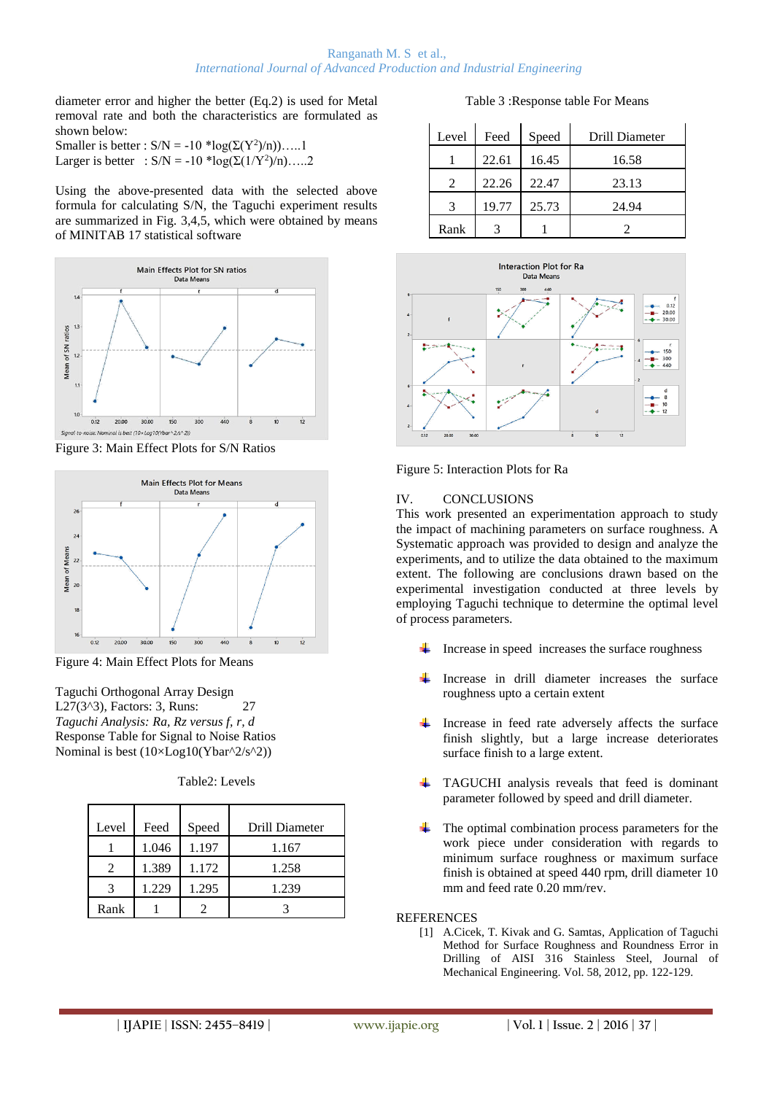diameter error and higher the better (Eq.2) is used for Metal removal rate and both the characteristics are formulated as shown below:

Smaller is better :  $S/N = -10 * log(\Sigma(Y^2)/n))$ .....1 Larger is better :  $S/N = -10 * log(\Sigma(1/Y^2)/n)$ .....2

Using the above-presented data with the selected above formula for calculating S/N, the Taguchi experiment results are summarized in Fig. 3,4,5, which were obtained by means of MINITAB 17 statistical software



Figure 3: Main Effect Plots for S/N Ratios



Figure 4: Main Effect Plots for Means

Taguchi Orthogonal Array Design L27(3^3), Factors: 3, Runs: 27 *Taguchi Analysis: Ra, Rz versus f, r, d* Response Table for Signal to Noise Ratios Nominal is best  $(10\times Log10(Ybar^2/5^2))$ 

| Table2: Levels |  |
|----------------|--|
|----------------|--|

| Level | Feed  | Speed | Drill Diameter |
|-------|-------|-------|----------------|
|       | 1.046 | 1.197 | 1.167          |
|       | 1.389 | 1.172 | 1.258          |
|       | 1.229 | 1.295 | 1.239          |
| Rank  |       |       |                |

Table 3 :Response table For Means

| Level | Feed  | Speed | Drill Diameter |
|-------|-------|-------|----------------|
|       | 22.61 | 16.45 | 16.58          |
|       | 22.26 | 22.47 | 23.13          |
|       | 19.77 | 25.73 | 24.94          |
| Rank  |       |       |                |



Figure 5: Interaction Plots for Ra

## IV. CONCLUSIONS

This work presented an experimentation approach to study the impact of machining parameters on surface roughness. A Systematic approach was provided to design and analyze the experiments, and to utilize the data obtained to the maximum extent. The following are conclusions drawn based on the experimental investigation conducted at three levels by employing Taguchi technique to determine the optimal level of process parameters.

- Increase in speed increases the surface roughness
- Increase in drill diameter increases the surface roughness upto a certain extent
- **Service** Increase in feed rate adversely affects the surface finish slightly, but a large increase deteriorates surface finish to a large extent.
- **TAGUCHI** analysis reveals that feed is dominant parameter followed by speed and drill diameter.
- The optimal combination process parameters for the work piece under consideration with regards to minimum surface roughness or maximum surface finish is obtained at speed 440 rpm, drill diameter 10 mm and feed rate 0.20 mm/rev.

# **REFERENCES**

[1] A.Cicek, T. Kivak and G. Samtas, Application of Taguchi Method for Surface Roughness and Roundness Error in Drilling of AISI 316 Stainless Steel, Journal of Mechanical Engineering. Vol. 58, 2012, pp. 122-129.